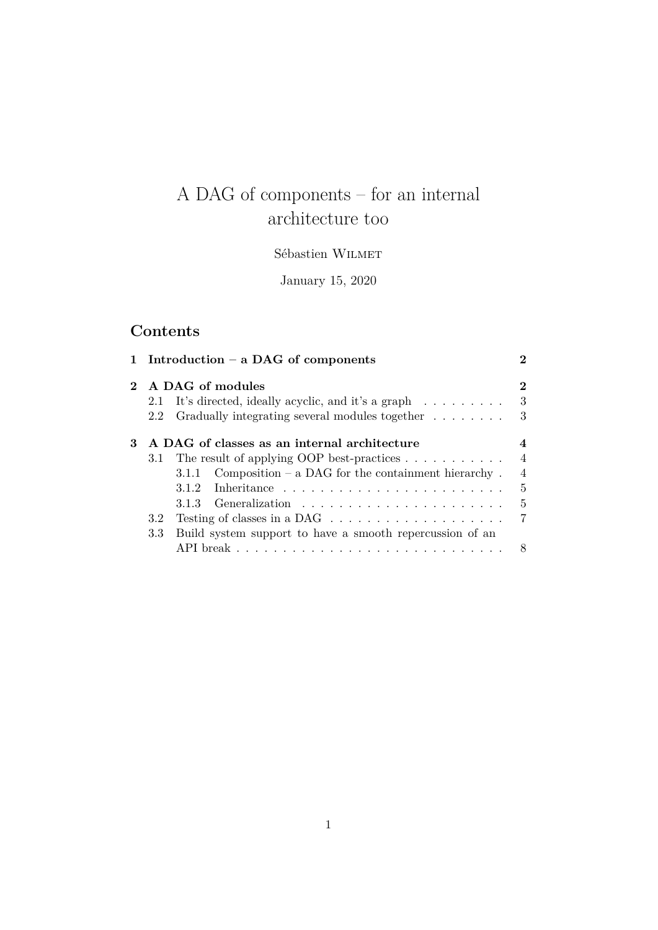# A DAG of components – for an internal architecture too

## Sébastien Wilmet

January 15, 2020

# **Contents**

|             |     | 1 Introduction $-$ a DAG of components                                  | 2              |
|-------------|-----|-------------------------------------------------------------------------|----------------|
| $2^{\circ}$ |     | A DAG of modules                                                        |                |
|             |     | 2.1 It's directed, ideally acyclic, and it's a graph                    | 3              |
|             | 2.2 | Gradually integrating several modules together                          | 3              |
| 3           |     | A DAG of classes as an internal architecture                            |                |
|             | 3.1 | The result of applying OOP best-practices $\ldots \ldots \ldots$        | $\overline{4}$ |
|             |     | 3.1.1 Composition – a DAG for the containment hierarchy.                | 4              |
|             |     |                                                                         | 5              |
|             |     |                                                                         | 5              |
|             | 3.2 | Testing of classes in a DAG $\ldots \ldots \ldots \ldots \ldots \ldots$ | 7              |
|             | 3.3 | Build system support to have a smooth repercussion of an                |                |
|             |     |                                                                         |                |
|             |     |                                                                         |                |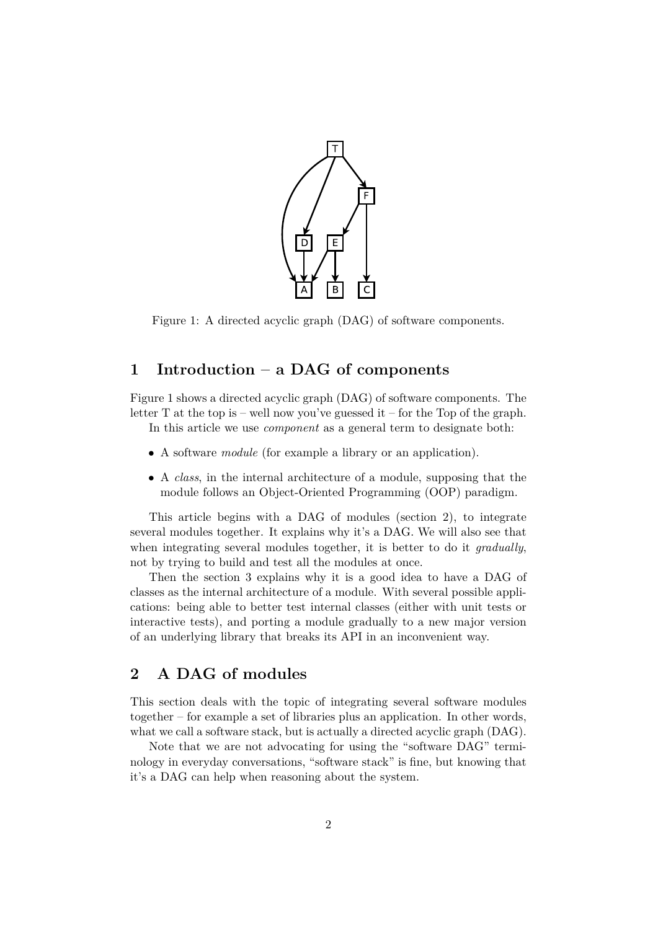

Figure 1: A directed acyclic graph (DAG) of software components.

## <span id="page-1-2"></span><span id="page-1-0"></span>**1 Introduction – a DAG of components**

Figure [1](#page-1-2) shows a directed acyclic graph (DAG) of software components. The letter T at the top is – well now you've guessed it – for the Top of the graph.

In this article we use *component* as a general term to designate both:

- A software *module* (for example a library or an application).
- A *class*, in the internal architecture of a module, supposing that the module follows an Object-Oriented Programming (OOP) paradigm.

This article begins with a DAG of modules (section [2\)](#page-1-1), to integrate several modules together. It explains why it's a DAG. We will also see that when integrating several modules together, it is better to do it *gradually*, not by trying to build and test all the modules at once.

Then the section [3](#page-3-0) explains why it is a good idea to have a DAG of classes as the internal architecture of a module. With several possible applications: being able to better test internal classes (either with unit tests or interactive tests), and porting a module gradually to a new major version of an underlying library that breaks its API in an inconvenient way.

## <span id="page-1-1"></span>**2 A DAG of modules**

This section deals with the topic of integrating several software modules together – for example a set of libraries plus an application. In other words, what we call a software stack, but is actually a directed acyclic graph (DAG).

Note that we are not advocating for using the "software DAG" terminology in everyday conversations, "software stack" is fine, but knowing that it's a DAG can help when reasoning about the system.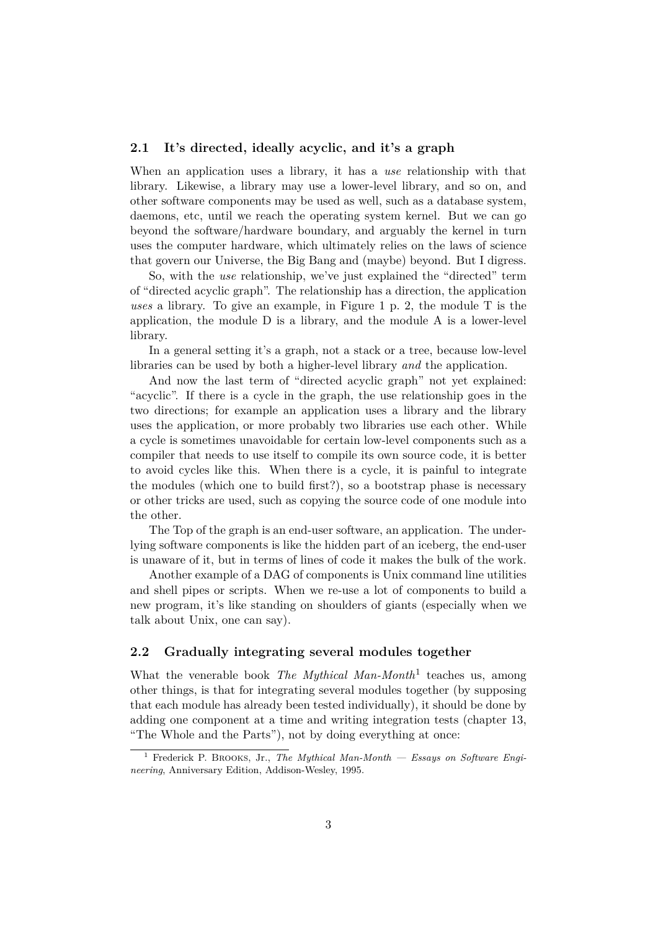## <span id="page-2-0"></span>**2.1 It's directed, ideally acyclic, and it's a graph**

When an application uses a library, it has a *use* relationship with that library. Likewise, a library may use a lower-level library, and so on, and other software components may be used as well, such as a database system, daemons, etc, until we reach the operating system kernel. But we can go beyond the software/hardware boundary, and arguably the kernel in turn uses the computer hardware, which ultimately relies on the laws of science that govern our Universe, the Big Bang and (maybe) beyond. But I digress.

So, with the *use* relationship, we've just explained the "directed" term of "directed acyclic graph". The relationship has a direction, the application *uses* a library. To give an example, in Figure [1](#page-1-2) p. [2,](#page-1-2) the module T is the application, the module D is a library, and the module A is a lower-level library.

In a general setting it's a graph, not a stack or a tree, because low-level libraries can be used by both a higher-level library *and* the application.

And now the last term of "directed acyclic graph" not yet explained: "acyclic". If there is a cycle in the graph, the use relationship goes in the two directions; for example an application uses a library and the library uses the application, or more probably two libraries use each other. While a cycle is sometimes unavoidable for certain low-level components such as a compiler that needs to use itself to compile its own source code, it is better to avoid cycles like this. When there is a cycle, it is painful to integrate the modules (which one to build first?), so a bootstrap phase is necessary or other tricks are used, such as copying the source code of one module into the other.

The Top of the graph is an end-user software, an application. The underlying software components is like the hidden part of an iceberg, the end-user is unaware of it, but in terms of lines of code it makes the bulk of the work.

Another example of a DAG of components is Unix command line utilities and shell pipes or scripts. When we re-use a lot of components to build a new program, it's like standing on shoulders of giants (especially when we talk about Unix, one can say).

## <span id="page-2-1"></span>**2.2 Gradually integrating several modules together**

What the venerable book *The Mythical Man-Month*<sup>[1](#page-2-2)</sup> teaches us, among other things, is that for integrating several modules together (by supposing that each module has already been tested individually), it should be done by adding one component at a time and writing integration tests (chapter 13, "The Whole and the Parts"), not by doing everything at once:

<span id="page-2-2"></span><sup>1</sup> Frederick P. Brooks, Jr., *The Mythical Man-Month — Essays on Software Engineering*, Anniversary Edition, Addison-Wesley, 1995.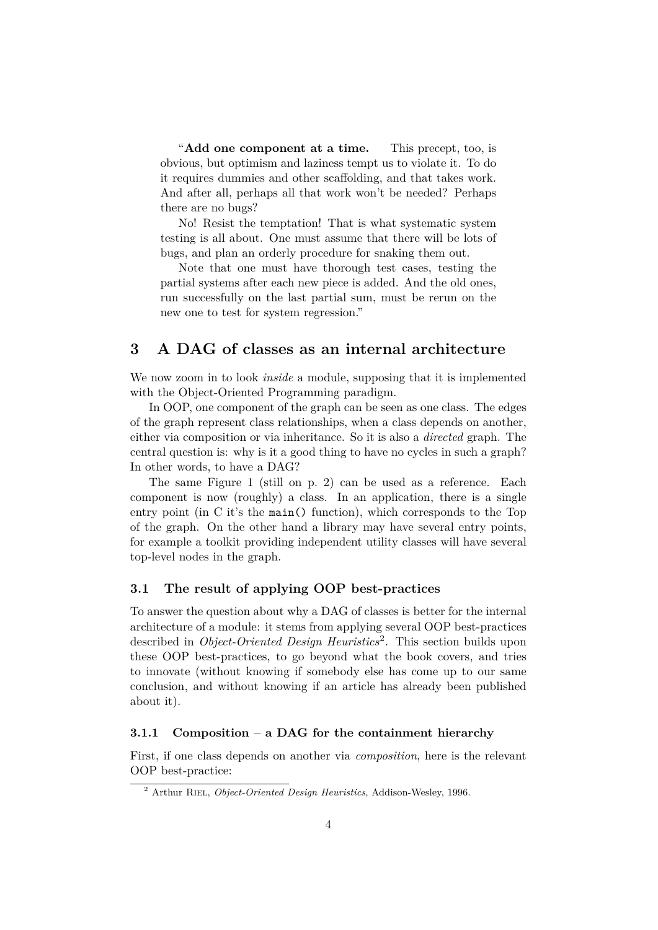"**Add one component at a time.** This precept, too, is obvious, but optimism and laziness tempt us to violate it. To do it requires dummies and other scaffolding, and that takes work. And after all, perhaps all that work won't be needed? Perhaps there are no bugs?

No! Resist the temptation! That is what systematic system testing is all about. One must assume that there will be lots of bugs, and plan an orderly procedure for snaking them out.

Note that one must have thorough test cases, testing the partial systems after each new piece is added. And the old ones, run successfully on the last partial sum, must be rerun on the new one to test for system regression."

## <span id="page-3-0"></span>**3 A DAG of classes as an internal architecture**

We now zoom in to look *inside* a module, supposing that it is implemented with the Object-Oriented Programming paradigm.

In OOP, one component of the graph can be seen as one class. The edges of the graph represent class relationships, when a class depends on another, either via composition or via inheritance. So it is also a *directed* graph. The central question is: why is it a good thing to have no cycles in such a graph? In other words, to have a DAG?

The same Figure [1](#page-1-2) (still on p. [2\)](#page-1-2) can be used as a reference. Each component is now (roughly) a class. In an application, there is a single entry point (in C it's the main() function), which corresponds to the Top of the graph. On the other hand a library may have several entry points, for example a toolkit providing independent utility classes will have several top-level nodes in the graph.

## <span id="page-3-1"></span>**3.1 The result of applying OOP best-practices**

To answer the question about why a DAG of classes is better for the internal architecture of a module: it stems from applying several OOP best-practices described in *Object-Oriented Design Heuristics*[2](#page-3-3) . This section builds upon these OOP best-practices, to go beyond what the book covers, and tries to innovate (without knowing if somebody else has come up to our same conclusion, and without knowing if an article has already been published about it).

## <span id="page-3-2"></span>**3.1.1 Composition – a DAG for the containment hierarchy**

First, if one class depends on another via *composition*, here is the relevant OOP best-practice:

<span id="page-3-3"></span><sup>&</sup>lt;sup>2</sup> Arthur RIEL, *Object-Oriented Design Heuristics*, Addison-Wesley, 1996.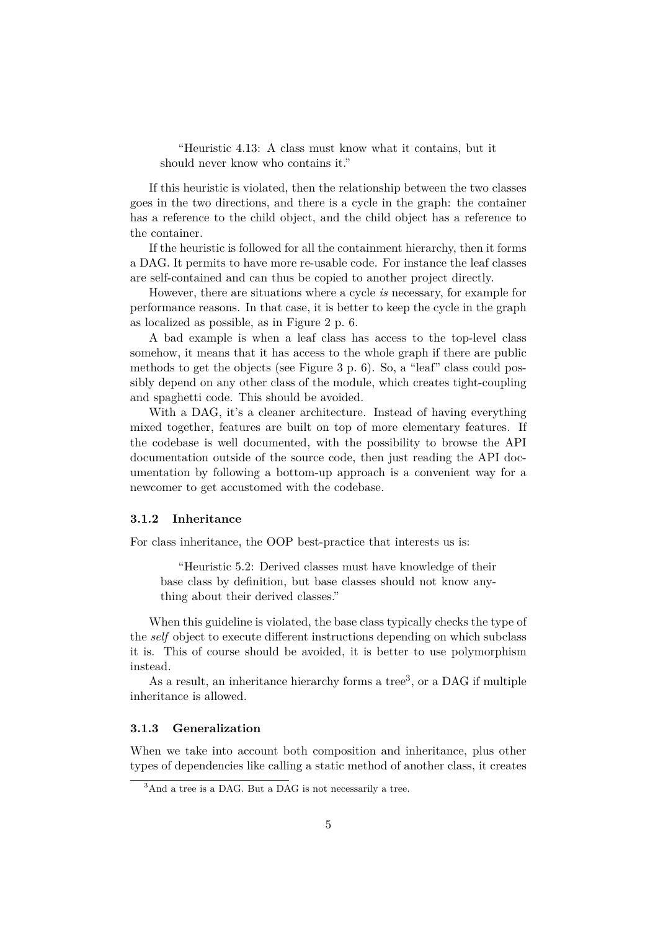"Heuristic 4.13: A class must know what it contains, but it should never know who contains it."

If this heuristic is violated, then the relationship between the two classes goes in the two directions, and there is a cycle in the graph: the container has a reference to the child object, and the child object has a reference to the container.

If the heuristic is followed for all the containment hierarchy, then it forms a DAG. It permits to have more re-usable code. For instance the leaf classes are self-contained and can thus be copied to another project directly.

However, there are situations where a cycle *is* necessary, for example for performance reasons. In that case, it is better to keep the cycle in the graph as localized as possible, as in Figure [2](#page-5-0) p. [6.](#page-5-0)

A bad example is when a leaf class has access to the top-level class somehow, it means that it has access to the whole graph if there are public methods to get the objects (see Figure [3](#page-5-1) p. [6\)](#page-5-1). So, a "leaf" class could possibly depend on any other class of the module, which creates tight-coupling and spaghetti code. This should be avoided.

With a DAG, it's a cleaner architecture. Instead of having everything mixed together, features are built on top of more elementary features. If the codebase is well documented, with the possibility to browse the API documentation outside of the source code, then just reading the API documentation by following a bottom-up approach is a convenient way for a newcomer to get accustomed with the codebase.

#### <span id="page-4-0"></span>**3.1.2 Inheritance**

For class inheritance, the OOP best-practice that interests us is:

"Heuristic 5.2: Derived classes must have knowledge of their base class by definition, but base classes should not know anything about their derived classes."

When this guideline is violated, the base class typically checks the type of the *self* object to execute different instructions depending on which subclass it is. This of course should be avoided, it is better to use polymorphism instead.

As a result, an inheritance hierarchy forms a tree<sup>[3](#page-4-2)</sup>, or a DAG if multiple inheritance is allowed.

#### <span id="page-4-1"></span>**3.1.3 Generalization**

When we take into account both composition and inheritance, plus other types of dependencies like calling a static method of another class, it creates

<span id="page-4-2"></span><sup>&</sup>lt;sup>3</sup>And a tree is a DAG. But a DAG is not necessarily a tree.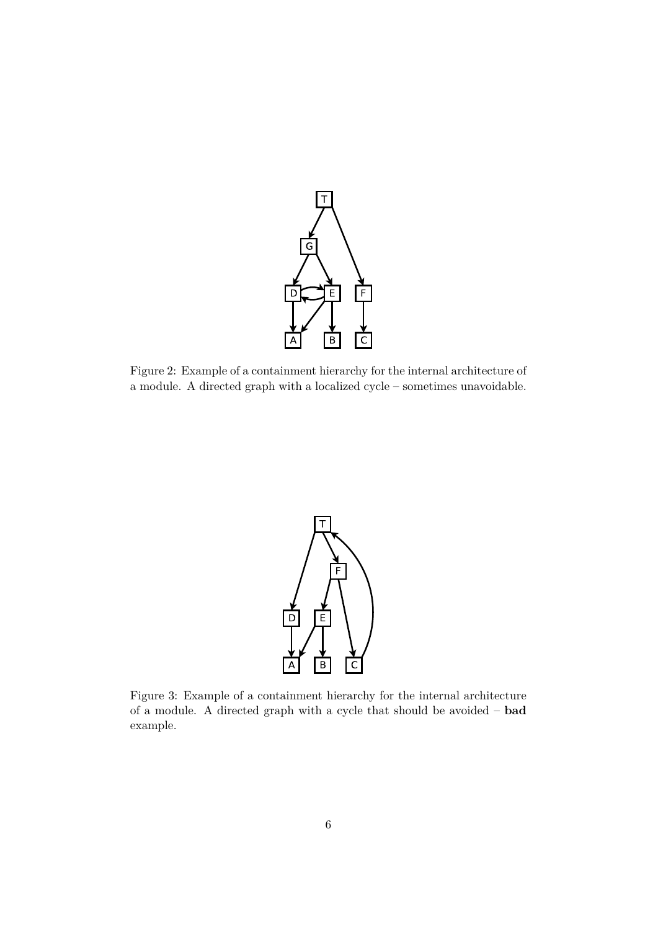

<span id="page-5-0"></span>Figure 2: Example of a containment hierarchy for the internal architecture of a module. A directed graph with a localized cycle – sometimes unavoidable.



<span id="page-5-1"></span>Figure 3: Example of a containment hierarchy for the internal architecture of a module. A directed graph with a cycle that should be avoided – **bad** example.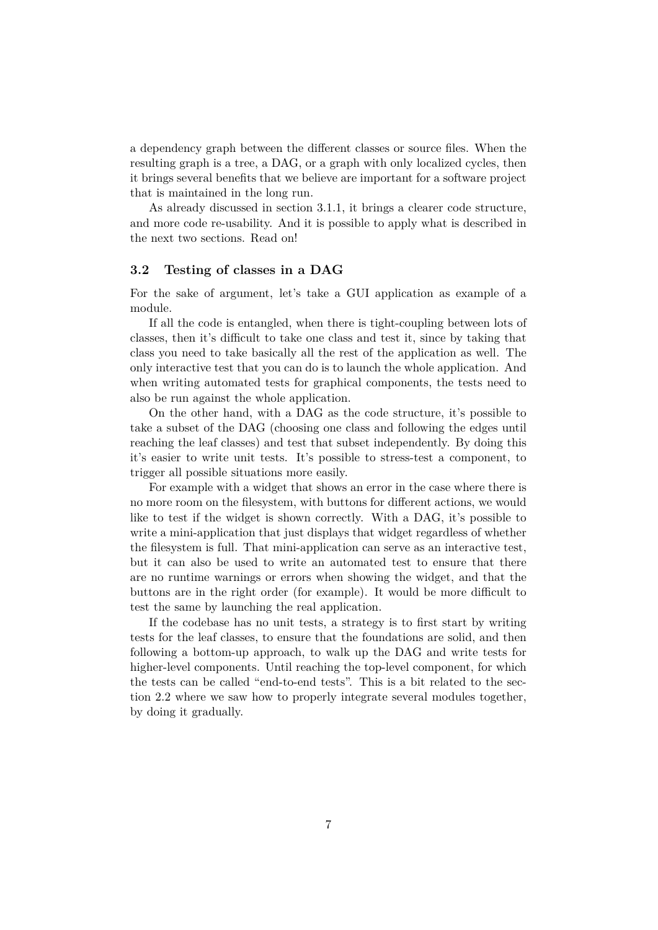a dependency graph between the different classes or source files. When the resulting graph is a tree, a DAG, or a graph with only localized cycles, then it brings several benefits that we believe are important for a software project that is maintained in the long run.

As already discussed in section [3.1.1,](#page-3-2) it brings a clearer code structure, and more code re-usability. And it is possible to apply what is described in the next two sections. Read on!

#### <span id="page-6-0"></span>**3.2 Testing of classes in a DAG**

For the sake of argument, let's take a GUI application as example of a module.

If all the code is entangled, when there is tight-coupling between lots of classes, then it's difficult to take one class and test it, since by taking that class you need to take basically all the rest of the application as well. The only interactive test that you can do is to launch the whole application. And when writing automated tests for graphical components, the tests need to also be run against the whole application.

On the other hand, with a DAG as the code structure, it's possible to take a subset of the DAG (choosing one class and following the edges until reaching the leaf classes) and test that subset independently. By doing this it's easier to write unit tests. It's possible to stress-test a component, to trigger all possible situations more easily.

For example with a widget that shows an error in the case where there is no more room on the filesystem, with buttons for different actions, we would like to test if the widget is shown correctly. With a DAG, it's possible to write a mini-application that just displays that widget regardless of whether the filesystem is full. That mini-application can serve as an interactive test, but it can also be used to write an automated test to ensure that there are no runtime warnings or errors when showing the widget, and that the buttons are in the right order (for example). It would be more difficult to test the same by launching the real application.

If the codebase has no unit tests, a strategy is to first start by writing tests for the leaf classes, to ensure that the foundations are solid, and then following a bottom-up approach, to walk up the DAG and write tests for higher-level components. Until reaching the top-level component, for which the tests can be called "end-to-end tests". This is a bit related to the section [2.2](#page-2-1) where we saw how to properly integrate several modules together, by doing it gradually.